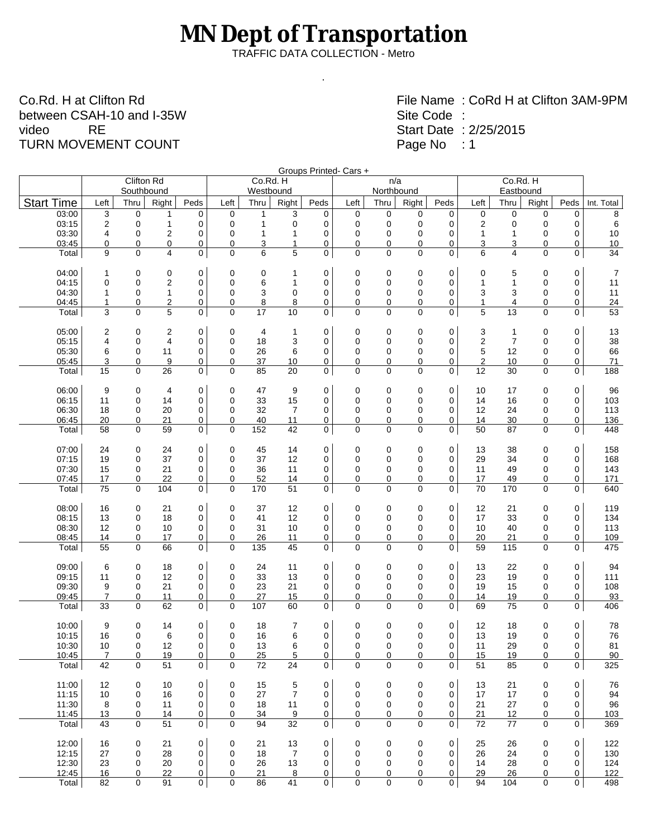## **MN Dept of Transportation**

TRAFFIC DATA COLLECTION - Metro

.

Co.Rd. H at Clifton Rd between CSAH-10 and I-35W<br>video RE video TURN MOVEMENT COUNT

File Name : CoRd H at Clifton 3AM-9PM Site Code : Start Date : 2/25/2015 Page No : 1

|            |                       |               |                         |                         |             |             |                    | Groups Printed- Cars + |                     |                      |                   |                  |                   |                |                    |                   |                   |
|------------|-----------------------|---------------|-------------------------|-------------------------|-------------|-------------|--------------------|------------------------|---------------------|----------------------|-------------------|------------------|-------------------|----------------|--------------------|-------------------|-------------------|
|            | Co.Rd. H<br>Eastbound |               |                         |                         |             |             | n/a                |                        |                     |                      | Co.Rd. H          |                  |                   |                | <b>Clifton Rd</b>  |                   |                   |
| Int. Total | Peds                  | Right         | Thru                    | Left                    | Peds        | Right       | Northbound<br>Thru | Left                   | Peds                | Right                | Westbound<br>Thru | Left             | Peds              | Right          | Southbound<br>Thru | Left              | <b>Start Time</b> |
| 8          | $\mathbf 0$           | 0             | $\mathbf 0$             | 0                       | $\mathbf 0$ | 0           | $\mathbf 0$        | $\mathbf 0$            | 0                   | 3                    | $\mathbf{1}$      | 0                | 0                 | 1              | 0                  | 3                 | 03:00             |
| 6          | 0                     | 0             | 0                       | $\overline{\mathbf{c}}$ | 0           | 0           | 0                  | $\mathbf 0$            | 0                   | $\mathbf 0$          | $\mathbf{1}$      | 0                | 0                 | $\mathbf{1}$   | $\mathbf 0$        | $\boldsymbol{2}$  | 03:15             |
| 10         | 0                     | 0             | 1                       | $\mathbf{1}$            | $\mathbf 0$ | 0           | 0                  | $\mathbf 0$            | 0                   | 1                    | $\mathbf{1}$      | 0                | 0                 | 2              | $\mathbf 0$        | 4                 | 03:30             |
| 10         | 0                     | 0             | 3                       | 3                       | 0           | 0           | 0                  | 0                      | 0                   | $\mathbf{1}$         | 3                 | 0                | 0                 | 0              | $\mathbf 0$        | 0                 | 03:45             |
| 34         | 0                     | $\Omega$      | $\overline{\mathbf{4}}$ | 6                       | 0           | 0           | 0                  | 0                      | $\mathbf 0$         | 5                    | 6                 | 0                | $\mathbf 0$       | 4              | $\Omega$           | 9                 | Total             |
| 7          | 0                     | 0             | 5                       | 0                       | 0           | 0           | 0                  | 0                      | 0                   | 1                    | 0                 | 0                | 0                 | 0              | 0                  | 1                 | 04:00             |
| 11         | 0                     | 0             | $\mathbf{1}$            | $\mathbf{1}$            | 0           | 0           | 0                  | $\mathbf 0$            | 0                   | 1                    | 6                 | 0                | 0                 | 2              | $\mathbf 0$        | 0                 | 04:15             |
| 11         | 0                     | 0             | 3                       | 3                       | 0           | 0           | 0                  | $\mathbf 0$            | $\mathbf 0$         | 0                    | 3                 | 0                | 0                 | $\mathbf{1}$   | $\mathbf 0$        | 1                 | 04:30             |
| 24         | 0                     | 0             | 4                       | $\mathbf{1}$<br>5       | 0           | 0           | 0                  | 0                      | 0                   | 8                    | 8                 | 0                | 0                 | $\overline{2}$ | $\mathbf 0$        | $\mathbf{1}$<br>3 | 04:45             |
| 53         | 0                     | 0             | 13                      |                         | 0           | 0           | 0                  | 0                      | 0                   | 10                   | 17                | 0                | $\mathbf 0$       | 5              | 0                  |                   | Total             |
| 13         | 0                     | 0             | $\mathbf{1}$            | 3                       | 0           | 0           | 0                  | 0                      | 0                   | 1                    | $\overline{4}$    | 0                | 0                 | 2              | 0                  | 2                 | 05:00             |
| 38         | 0                     | 0             | $\overline{7}$          | $\boldsymbol{2}$        | $\mathbf 0$ | $\mathbf 0$ | 0                  | $\mathbf 0$            | 0                   | 3                    | 18                | 0                | 0                 | $\overline{4}$ | $\mathbf 0$        | 4                 | 05:15             |
| 66         | 0                     | 0             | 12                      | 5                       | 0           | 0           | 0                  | 0                      | 0                   | 6                    | 26                | 0                | 0                 | 11             | $\mathbf 0$        | 6                 | 05:30             |
| 71         | $\mathbf 0$           | 0             | 10                      | $\overline{2}$          | 0           | 0           | 0                  | 0                      | $\mathbf 0$         | 10                   | 37                | 0                | $\mathbf 0$       | 9              | 0                  | 3                 | 05:45             |
| 188        | 0                     | 0             | 30                      | 12                      | 0           | 0           | 0                  | 0                      | $\mathbf 0$         | 20                   | 85                | 0                | $\mathbf 0$       | 26             | $\mathbf 0$        | 15                | Total             |
| 96         | $\mathbf 0$           | 0             | 17                      | 10                      | 0           | 0           | 0                  | 0                      | 0                   | 9                    | 47                | 0                | 0                 | 4              | 0                  | 9                 | 06:00             |
| 103        | 0                     | 0             | 16                      | 14                      | $\mathbf 0$ | 0           | 0                  | $\mathbf 0$            | $\mathbf 0$         | 15                   | 33                | 0                | 0                 | 14             | $\mathbf 0$        | 11                | 06:15             |
| 113<br>136 | 0<br>0                | 0<br>0        | 24<br>30                | 12<br>14                | 0<br>0      | 0<br>0      | $\mathbf 0$<br>0   | $\mathbf 0$<br>0       | $\mathbf 0$<br>0    | $\overline{7}$<br>11 | 32<br>40          | 0<br>0           | 0<br>0            | 20<br>21       | $\mathbf 0$<br>0   | 18<br>20          | 06:30<br>06:45    |
| 448        | $\mathbf 0$           | 0             | 87                      | 50                      | 0           | 0           | 0                  | 0                      | 0                   | 42                   | 152               | 0                | $\mathbf 0$       | 59             | $\mathbf 0$        | 58                | Total             |
|            |                       |               |                         |                         |             |             |                    |                        |                     |                      |                   |                  |                   |                |                    |                   |                   |
| 158<br>168 | 0<br>0                | 0<br>0        | 38<br>34                | 13<br>29                | 0<br>0      | 0<br>0      | 0<br>0             | 0<br>$\mathbf 0$       | 0<br>$\mathbf 0$    | 14<br>12             | 45<br>37          | 0<br>0           | 0<br>$\mathbf 0$  | 24<br>37       | 0<br>$\mathbf 0$   | 24<br>19          | 07:00<br>07:15    |
| 143        | $\mathbf 0$           | 0             | 49                      | 11                      | $\mathbf 0$ | 0           | 0                  | $\mathbf 0$            | $\mathbf 0$         | 11                   | 36                | 0                | 0                 | 21             | 0                  | 15                | 07:30             |
| 171        | 0                     | 0             | 49                      | 17                      | 0           | 0           | 0                  | 0                      | 0                   | 14                   | 52                | 0                | 0                 | 22             | $\mathbf 0$        | 17                | 07:45             |
| 640        | 0                     | 0             | 170                     | 70                      | 0           | 0           | 0                  | 0                      | 0                   | 51                   | 170               | 0                | $\mathbf 0$       | 104            | $\mathbf 0$        | 75                | Total             |
| 119        | 0                     | 0             | 21                      | 12                      | $\mathbf 0$ | 0           | 0                  | 0                      | 0                   | 12                   | 37                | 0                | 0                 | 21             | 0                  | 16                | 08:00             |
| 134        | 0                     | 0             | 33                      | 17                      | 0           | 0           | 0                  | $\mathbf 0$            | $\mathbf 0$         | 12                   | 41                | 0                | 0                 | 18             | 0                  | 13                | 08:15             |
| 113        | $\mathbf 0$           | 0             | 40                      | 10                      | 0           | 0           | 0                  | $\mathbf 0$            | 0                   | 10                   | 31                | 0                | 0                 | 10             | 0                  | 12                | 08:30             |
| 109        | 0                     | 0             | 21                      | 20                      | 0           | 0           | 0                  | $\pmb{0}$              | $\pmb{0}$           | 11                   | 26                | 0                | 0                 | 17             | 0                  | 14                | 08:45             |
| 475        | 0                     | 0             | 115                     | 59                      | 0           | 0           | 0                  | 0                      | 0                   | 45                   | 135               | 0                | 0                 | 66             | $\mathbf 0$        | 55                | Total             |
| 94         | 0                     | 0             | 22                      | 13                      | 0           | 0           | 0                  | 0                      | 0                   | 11                   | 24                | 0                | 0                 | 18             | 0                  | 6                 | 09:00             |
| 111        | 0                     | 0             | 19                      | 23                      | $\mathbf 0$ | 0           | 0                  | $\mathbf 0$            | 0                   | 13                   | 33                | 0                | 0                 | 12             | 0                  | 11                | 09:15             |
| 108        | 0                     | 0             | 15                      | 19                      | 0           | 0           | 0                  | 0                      | $\mathbf 0$         | 21                   | 23                | 0                | 0                 | 21             | $\mathbf 0$        | 9                 | 09:30             |
| 93         | 0                     | 0             | 19                      | 14                      | 0           | 0           | 0                  | 0                      | 0                   | 15                   | 27                | 0                | 0                 | 11             | 0                  | $\overline{7}$    | 09:45             |
| 406        | 0                     | 0             | 75                      | 69                      | 0           | 0           | 0                  | 0                      | 0                   | 60                   | 107               | 0                | 0                 | 62             | $\mathbf 0$        | 33                | Total             |
| 78         | 0                     | 0             | 18                      | 12                      | 0           | 0           | 0                  | 0                      | 0                   | 7                    | 18                | 0                | 0                 | 14             | 0                  | 9                 | 10:00             |
| 76         | 0                     | 0             | 19                      | 13                      | 0           | 0           | 0                  | $\mathbf 0$            | $\mathbf 0$         | 6                    | 16                | 0                | 0                 | 6              | $\mathbf 0$        | 16                | 10:15             |
| 81         | 0                     | 0             | 29                      | 11                      | 0           | 0           | 0                  | 0                      | $\sigma$            | 6                    | 13                | 0                | 0                 | 12             | 0                  | 10                | 10:30             |
| 90         | 0                     | 0             | 19                      | 15                      | 0           | 0           | 0                  | 0                      | 0                   | 5                    | 25                | 0                | 0                 | 19             | 0                  | $\overline{7}$    | 10:45             |
| 325        | $\Omega$              | $\Omega$      | 85                      | 51                      | 0           | $\Omega$    | $\Omega$           | $\Omega$               | $\mathbf{0}$        | 24                   | 72                | $\Omega$         | $\mathbf{0}$      | 51             | 0                  | 42                | Total             |
| 76         | 0                     | 0             | 21                      | 13                      | 0           | 0           | 0                  | 0                      | 0                   | 5                    | 15                | 0                | 0                 | 10             | 0                  | 12                | 11:00             |
| 94         | 0                     | 0             | 17                      | 17                      | 0           | 0           | 0                  | $\mathbf 0$            | $\mathbf 0$         | $\overline{7}$       | 27                | $\mathbf 0$      | $\mathbf 0$       | 16             | $\mathbf 0$        | 10                | 11:15             |
| 96         | 0                     | 0             | 27                      | 21                      | 0           | 0           | 0                  | 0                      | 0                   | 11                   | 18                | 0                | 0                 | 11             | 0                  | 8                 | 11:30             |
| 103<br>369 | 0<br>0                | 0<br>$\Omega$ | 12<br>77                | 21<br>72                | 0<br>0      | 0<br>0      | 0<br>0             | 0<br>0                 | 0<br>$\overline{0}$ | 9<br>32              | 34<br>94          | 0<br>$\mathbf 0$ | 0<br>$\mathbf{0}$ | 14<br>51       | 0<br>0             | 13<br>43          | 11:45<br>Total    |
|            |                       |               |                         |                         |             |             |                    |                        |                     |                      |                   |                  |                   |                |                    |                   |                   |
| 122        | 0                     | 0             | 26                      | 25                      | $\mathbf 0$ | 0           | 0                  | 0                      | $\mathbf 0$         | 13                   | 21                | 0                | 0                 | 21             | 0                  | 16                | 12:00             |
| 130        | $\mathbf 0$           | 0             | 24                      | 26                      | 0           | 0           | 0                  | $\mathbf 0$            | $\mathbf 0$         | $\overline{7}$       | 18                | 0                | 0                 | 28             | 0                  | 27                | 12:15             |
| 124        | 0                     | 0<br>$\Omega$ | 28                      | 14                      | 0           | 0<br>0      | 0<br>0             | 0<br>0                 | $\mathbf 0$         | 13                   | 26<br>21          | 0<br>0           | 0                 | 20<br>22       | 0                  | 23                | 12:30<br>12:45    |
| 122<br>498 | 0<br>0                | 0             | 26<br>104               | 29<br>94                | 0<br>0      | 0           | 0                  | $\mathbf 0$            | 0<br>$\mathbf 0$    | 8<br>41              | 86                | 0                | 0<br>$\mathbf 0$  | 91             | 0<br>0             | 16<br>82          | Total             |
|            |                       |               |                         |                         |             |             |                    |                        |                     |                      |                   |                  |                   |                |                    |                   |                   |